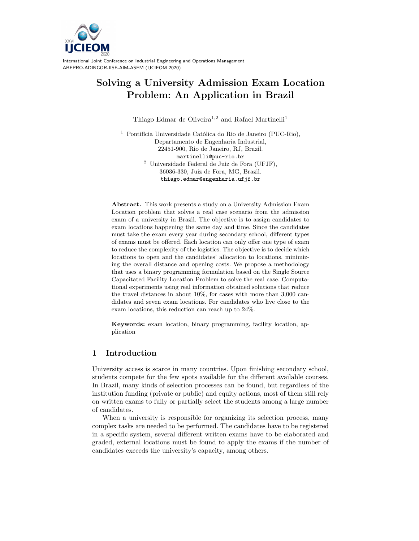

# Solving a University Admission Exam Location Problem: An Application in Brazil

Thiago Edmar de Oliveira<sup>1,2</sup> and Rafael Martinelli<sup>1</sup>

<sup>1</sup> Pontifícia Universidade Católica do Rio de Janeiro (PUC-Rio), Departamento de Engenharia Industrial, 22451-900, Rio de Janeiro, RJ, Brazil. martinelli@puc-rio.br <sup>2</sup> Universidade Federal de Juiz de Fora (UFJF), 36036-330, Juiz de Fora, MG, Brazil. thiago.edmar@engenharia.ufjf.br

Abstract. This work presents a study on a University Admission Exam Location problem that solves a real case scenario from the admission exam of a university in Brazil. The objective is to assign candidates to exam locations happening the same day and time. Since the candidates must take the exam every year during secondary school, different types of exams must be offered. Each location can only offer one type of exam to reduce the complexity of the logistics. The objective is to decide which locations to open and the candidates' allocation to locations, minimizing the overall distance and opening costs. We propose a methodology that uses a binary programming formulation based on the Single Source Capacitated Facility Location Problem to solve the real case. Computational experiments using real information obtained solutions that reduce the travel distances in about 10%, for cases with more than 3,000 candidates and seven exam locations. For candidates who live close to the exam locations, this reduction can reach up to 24%.

Keywords: exam location, binary programming, facility location, application

# 1 Introduction

University access is scarce in many countries. Upon finishing secondary school, students compete for the few spots available for the different available courses. In Brazil, many kinds of selection processes can be found, but regardless of the institution funding (private or public) and equity actions, most of them still rely on written exams to fully or partially select the students among a large number of candidates.

When a university is responsible for organizing its selection process, many complex tasks are needed to be performed. The candidates have to be registered in a specific system, several different written exams have to be elaborated and graded, external locations must be found to apply the exams if the number of candidates exceeds the university's capacity, among others.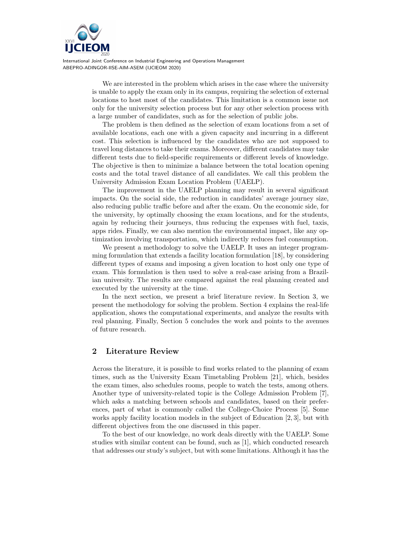

> We are interested in the problem which arises in the case where the university is unable to apply the exam only in its campus, requiring the selection of external locations to host most of the candidates. This limitation is a common issue not only for the university selection process but for any other selection process with a large number of candidates, such as for the selection of public jobs.

> The problem is then defined as the selection of exam locations from a set of available locations, each one with a given capacity and incurring in a different cost. This selection is influenced by the candidates who are not supposed to travel long distances to take their exams. Moreover, different candidates may take different tests due to field-specific requirements or different levels of knowledge. The objective is then to minimize a balance between the total location opening costs and the total travel distance of all candidates. We call this problem the University Admission Exam Location Problem (UAELP).

> The improvement in the UAELP planning may result in several significant impacts. On the social side, the reduction in candidates' average journey size, also reducing public traffic before and after the exam. On the economic side, for the university, by optimally choosing the exam locations, and for the students, again by reducing their journeys, thus reducing the expenses with fuel, taxis, apps rides. Finally, we can also mention the environmental impact, like any optimization involving transportation, which indirectly reduces fuel consumption.

> We present a methodology to solve the UAELP. It uses an integer programming formulation that extends a facility location formulation [18], by considering different types of exams and imposing a given location to host only one type of exam. This formulation is then used to solve a real-case arising from a Brazilian university. The results are compared against the real planning created and executed by the university at the time.

> In the next section, we present a brief literature review. In Section 3, we present the methodology for solving the problem. Section 4 explains the real-life application, shows the computational experiments, and analyze the results with real planning. Finally, Section 5 concludes the work and points to the avenues of future research.

### 2 Literature Review

Across the literature, it is possible to find works related to the planning of exam times, such as the University Exam Timetabling Problem [21], which, besides the exam times, also schedules rooms, people to watch the tests, among others. Another type of university-related topic is the College Admission Problem [7], which asks a matching between schools and candidates, based on their preferences, part of what is commonly called the College-Choice Process [5]. Some works apply facility location models in the subject of Education [2, 3], but with different objectives from the one discussed in this paper.

To the best of our knowledge, no work deals directly with the UAELP. Some studies with similar content can be found, such as [1], which conducted research that addresses our study's subject, but with some limitations. Although it has the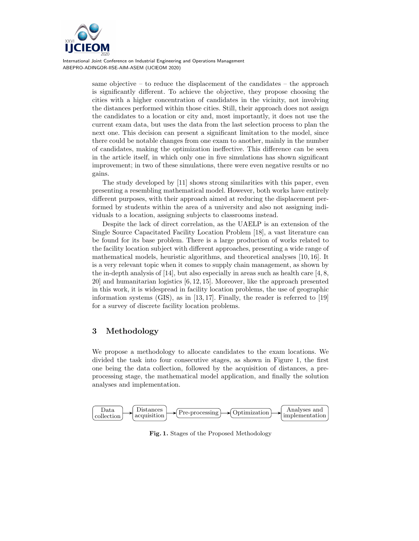

> same objective – to reduce the displacement of the candidates – the approach is significantly different. To achieve the objective, they propose choosing the cities with a higher concentration of candidates in the vicinity, not involving the distances performed within those cities. Still, their approach does not assign the candidates to a location or city and, most importantly, it does not use the current exam data, but uses the data from the last selection process to plan the next one. This decision can present a significant limitation to the model, since there could be notable changes from one exam to another, mainly in the number of candidates, making the optimization ineffective. This difference can be seen in the article itself, in which only one in five simulations has shown significant improvement; in two of these simulations, there were even negative results or no gains.

> The study developed by [11] shows strong similarities with this paper, even presenting a resembling mathematical model. However, both works have entirely different purposes, with their approach aimed at reducing the displacement performed by students within the area of a university and also not assigning individuals to a location, assigning subjects to classrooms instead.

> Despite the lack of direct correlation, as the UAELP is an extension of the Single Source Capacitated Facility Location Problem [18], a vast literature can be found for its base problem. There is a large production of works related to the facility location subject with different approaches, presenting a wide range of mathematical models, heuristic algorithms, and theoretical analyses [10, 16]. It is a very relevant topic when it comes to supply chain management, as shown by the in-depth analysis of [14], but also especially in areas such as health care  $[4, 8, 1]$ 20] and humanitarian logistics [6, 12, 15]. Moreover, like the approach presented in this work, it is widespread in facility location problems, the use of geographic information systems (GIS), as in [13, 17]. Finally, the reader is referred to [19] for a survey of discrete facility location problems.

# 3 Methodology

We propose a methodology to allocate candidates to the exam locations. We divided the task into four consecutive stages, as shown in Figure 1, the first one being the data collection, followed by the acquisition of distances, a preprocessing stage, the mathematical model application, and finally the solution analyses and implementation.



Fig. 1. Stages of the Proposed Methodology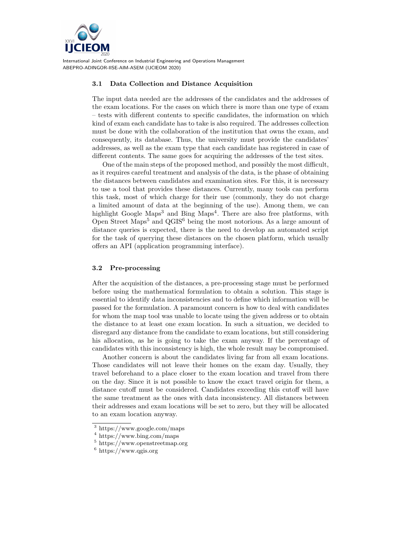

### 3.1 Data Collection and Distance Acquisition

The input data needed are the addresses of the candidates and the addresses of the exam locations. For the cases on which there is more than one type of exam – tests with different contents to specific candidates, the information on which kind of exam each candidate has to take is also required. The addresses collection must be done with the collaboration of the institution that owns the exam, and consequently, its database. Thus, the university must provide the candidates' addresses, as well as the exam type that each candidate has registered in case of different contents. The same goes for acquiring the addresses of the test sites.

One of the main steps of the proposed method, and possibly the most difficult, as it requires careful treatment and analysis of the data, is the phase of obtaining the distances between candidates and examination sites. For this, it is necessary to use a tool that provides these distances. Currently, many tools can perform this task, most of which charge for their use (commonly, they do not charge a limited amount of data at the beginning of the use). Among them, we can highlight Google Maps<sup>3</sup> and Bing Maps<sup>4</sup>. There are also free platforms, with Open Street Maps<sup>5</sup> and  $QGIS^6$  being the most notorious. As a large amount of distance queries is expected, there is the need to develop an automated script for the task of querying these distances on the chosen platform, which usually offers an API (application programming interface).

#### 3.2 Pre-processing

After the acquisition of the distances, a pre-processing stage must be performed before using the mathematical formulation to obtain a solution. This stage is essential to identify data inconsistencies and to define which information will be passed for the formulation. A paramount concern is how to deal with candidates for whom the map tool was unable to locate using the given address or to obtain the distance to at least one exam location. In such a situation, we decided to disregard any distance from the candidate to exam locations, but still considering his allocation, as he is going to take the exam anyway. If the percentage of candidates with this inconsistency is high, the whole result may be compromised.

Another concern is about the candidates living far from all exam locations. Those candidates will not leave their homes on the exam day. Usually, they travel beforehand to a place closer to the exam location and travel from there on the day. Since it is not possible to know the exact travel origin for them, a distance cutoff must be considered. Candidates exceeding this cutoff will have the same treatment as the ones with data inconsistency. All distances between their addresses and exam locations will be set to zero, but they will be allocated to an exam location anyway.

<sup>3</sup> https://www.google.com/maps

<sup>4</sup> https://www.bing.com/maps

<sup>5</sup> https://www.openstreetmap.org

 $6 \text{ https://www.qgis.org}$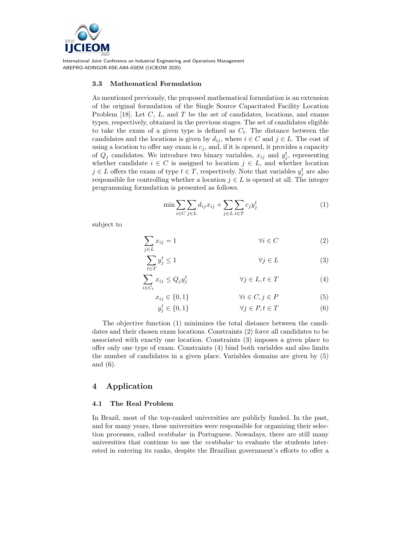

#### 3.3 Mathematical Formulation

As mentioned previously, the proposed mathematical formulation is an extension of the original formulation of the Single Source Capacitated Facility Location Problem [18]. Let  $C, L$ , and  $T$  be the set of candidates, locations, and exams types, respectively, obtained in the previous stages. The set of candidates eligible to take the exam of a given type is defined as  $C_t$ . The distance between the candidates and the locations is given by  $d_{ij}$ , where  $i \in C$  and  $j \in L$ . The cost of using a location to offer any exam is  $c_j$ , and, if it is opened, it provides a capacity of  $Q_j$  candidates. We introduce two binary variables,  $x_{ij}$  and  $y_j^t$ , representing whether candidate  $i \in C$  is assigned to location  $j \in L$ , and whether location  $j \in L$  offers the exam of type  $t \in T$ , respectively. Note that variables  $y_j^t$  are also responsible for controlling whether a location  $j \in L$  is opened at all. The integer programming formulation is presented as follows.

$$
\min \sum_{i \in C} \sum_{j \in L} d_{ij} x_{ij} + \sum_{j \in L} \sum_{t \in T} c_j y_j^t \tag{1}
$$

subject to

$$
\sum_{j \in L} x_{ij} = 1 \qquad \qquad \forall i \in C \qquad (2)
$$

$$
\sum_{t \in T} y_j^t \le 1 \qquad \qquad \forall j \in L \tag{3}
$$

$$
\sum_{i \in C_t} x_{ij} \le Q_j y_j^t \qquad \qquad \forall j \in L, t \in T \tag{4}
$$

$$
x_{ij} \in \{0, 1\} \qquad \qquad \forall i \in C, j \in P \tag{5}
$$

$$
y_j^t \in \{0, 1\} \qquad \forall j \in P, t \in T \tag{6}
$$

The objective function (1) minimizes the total distance between the candidates and their chosen exam locations. Constraints (2) force all candidates to be associated with exactly one location. Constraints (3) imposes a given place to offer only one type of exam. Constraints (4) bind both variables and also limits the number of candidates in a given place. Variables domains are given by (5) and (6).

### 4 Application

#### 4.1 The Real Problem

In Brazil, most of the top-ranked universities are publicly funded. In the past, and for many years, these universities were responsible for organizing their selection processes, called vestibular in Portuguese. Nowadays, there are still many universities that continue to use the vestibular to evaluate the students interested in entering its ranks, despite the Brazilian government's efforts to offer a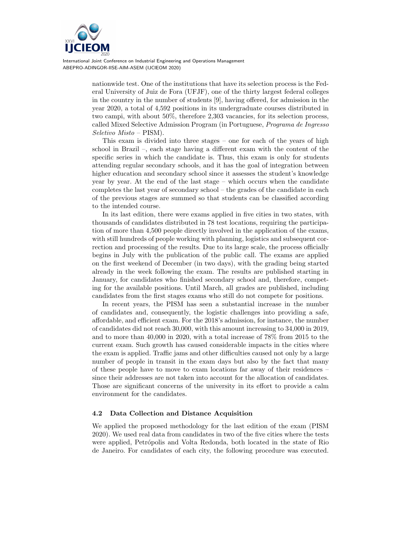

> nationwide test. One of the institutions that have its selection process is the Federal University of Juiz de Fora (UFJF), one of the thirty largest federal colleges in the country in the number of students [9], having offered, for admission in the year 2020, a total of 4,592 positions in its undergraduate courses distributed in two campi, with about 50%, therefore 2,303 vacancies, for its selection process, called Mixed Selective Admission Program (in Portuguese, Programa de Ingresso Seletivo Misto – PISM).

> This exam is divided into three stages – one for each of the years of high school in Brazil –, each stage having a different exam with the content of the specific series in which the candidate is. Thus, this exam is only for students attending regular secondary schools, and it has the goal of integration between higher education and secondary school since it assesses the student's knowledge year by year. At the end of the last stage – which occurs when the candidate completes the last year of secondary school – the grades of the candidate in each of the previous stages are summed so that students can be classified according to the intended course.

> In its last edition, there were exams applied in five cities in two states, with thousands of candidates distributed in 78 test locations, requiring the participation of more than 4,500 people directly involved in the application of the exams, with still hundreds of people working with planning, logistics and subsequent correction and processing of the results. Due to its large scale, the process officially begins in July with the publication of the public call. The exams are applied on the first weekend of December (in two days), with the grading being started already in the week following the exam. The results are published starting in January, for candidates who finished secondary school and, therefore, competing for the available positions. Until March, all grades are published, including candidates from the first stages exams who still do not compete for positions.

> In recent years, the PISM has seen a substantial increase in the number of candidates and, consequently, the logistic challenges into providing a safe, affordable, and efficient exam. For the 2018's admission, for instance, the number of candidates did not reach 30,000, with this amount increasing to 34,000 in 2019, and to more than 40,000 in 2020, with a total increase of 78% from 2015 to the current exam. Such growth has caused considerable impacts in the cities where the exam is applied. Traffic jams and other difficulties caused not only by a large number of people in transit in the exam days but also by the fact that many of these people have to move to exam locations far away of their residences – since their addresses are not taken into account for the allocation of candidates. Those are significant concerns of the university in its effort to provide a calm environment for the candidates.

### 4.2 Data Collection and Distance Acquisition

We applied the proposed methodology for the last edition of the exam (PISM 2020). We used real data from candidates in two of the five cities where the tests were applied, Petrópolis and Volta Redonda, both located in the state of Rio de Janeiro. For candidates of each city, the following procedure was executed.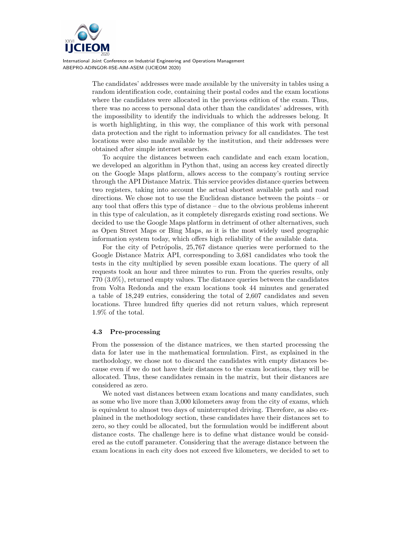

> The candidates' addresses were made available by the university in tables using a random identification code, containing their postal codes and the exam locations where the candidates were allocated in the previous edition of the exam. Thus, there was no access to personal data other than the candidates' addresses, with the impossibility to identify the individuals to which the addresses belong. It is worth highlighting, in this way, the compliance of this work with personal data protection and the right to information privacy for all candidates. The test locations were also made available by the institution, and their addresses were obtained after simple internet searches.

> To acquire the distances between each candidate and each exam location, we developed an algorithm in Python that, using an access key created directly on the Google Maps platform, allows access to the company's routing service through the API Distance Matrix. This service provides distance queries between two registers, taking into account the actual shortest available path and road directions. We chose not to use the Euclidean distance between the points – or any tool that offers this type of distance – due to the obvious problems inherent in this type of calculation, as it completely disregards existing road sections. We decided to use the Google Maps platform in detriment of other alternatives, such as Open Street Maps or Bing Maps, as it is the most widely used geographic information system today, which offers high reliability of the available data.

> For the city of Petrópolis, 25,767 distance queries were performed to the Google Distance Matrix API, corresponding to 3,681 candidates who took the tests in the city multiplied by seven possible exam locations. The query of all requests took an hour and three minutes to run. From the queries results, only 770 (3.0%), returned empty values. The distance queries between the candidates from Volta Redonda and the exam locations took 44 minutes and generated a table of 18,249 entries, considering the total of 2,607 candidates and seven locations. Three hundred fifty queries did not return values, which represent 1.9% of the total.

### 4.3 Pre-processing

From the possession of the distance matrices, we then started processing the data for later use in the mathematical formulation. First, as explained in the methodology, we chose not to discard the candidates with empty distances because even if we do not have their distances to the exam locations, they will be allocated. Thus, these candidates remain in the matrix, but their distances are considered as zero.

We noted vast distances between exam locations and many candidates, such as some who live more than 3,000 kilometers away from the city of exams, which is equivalent to almost two days of uninterrupted driving. Therefore, as also explained in the methodology section, these candidates have their distances set to zero, so they could be allocated, but the formulation would be indifferent about distance costs. The challenge here is to define what distance would be considered as the cutoff parameter. Considering that the average distance between the exam locations in each city does not exceed five kilometers, we decided to set to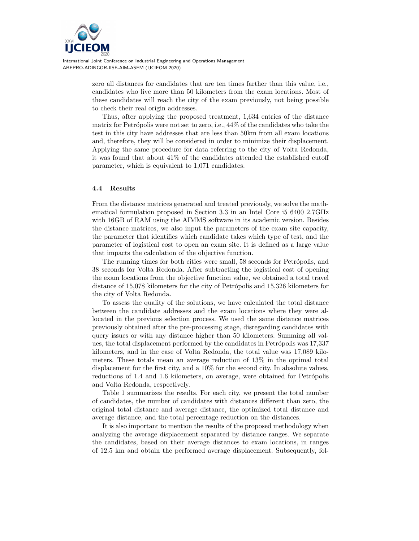

> zero all distances for candidates that are ten times farther than this value, i.e., candidates who live more than 50 kilometers from the exam locations. Most of these candidates will reach the city of the exam previously, not being possible to check their real origin addresses.

> Thus, after applying the proposed treatment, 1,634 entries of the distance matrix for Petrópolis were not set to zero, i.e.,  $44\%$  of the candidates who take the test in this city have addresses that are less than 50km from all exam locations and, therefore, they will be considered in order to minimize their displacement. Applying the same procedure for data referring to the city of Volta Redonda, it was found that about 41% of the candidates attended the established cutoff parameter, which is equivalent to 1,071 candidates.

### 4.4 Results

From the distance matrices generated and treated previously, we solve the mathematical formulation proposed in Section 3.3 in an Intel Core i5 6400 2.7GHz with 16GB of RAM using the AIMMS software in its academic version. Besides the distance matrices, we also input the parameters of the exam site capacity, the parameter that identifies which candidate takes which type of test, and the parameter of logistical cost to open an exam site. It is defined as a large value that impacts the calculation of the objective function.

The running times for both cities were small, 58 seconds for Petrópolis, and 38 seconds for Volta Redonda. After subtracting the logistical cost of opening the exam locations from the objective function value, we obtained a total travel distance of 15,078 kilometers for the city of Petrópolis and 15,326 kilometers for the city of Volta Redonda.

To assess the quality of the solutions, we have calculated the total distance between the candidate addresses and the exam locations where they were allocated in the previous selection process. We used the same distance matrices previously obtained after the pre-processing stage, disregarding candidates with query issues or with any distance higher than 50 kilometers. Summing all values, the total displacement performed by the candidates in Petrópolis was 17,337 kilometers, and in the case of Volta Redonda, the total value was 17,089 kilometers. These totals mean an average reduction of 13% in the optimal total displacement for the first city, and a 10% for the second city. In absolute values, reductions of 1.4 and 1.6 kilometers, on average, were obtained for Petrópolis and Volta Redonda, respectively.

Table 1 summarizes the results. For each city, we present the total number of candidates, the number of candidates with distances different than zero, the original total distance and average distance, the optimized total distance and average distance, and the total percentage reduction on the distances.

It is also important to mention the results of the proposed methodology when analyzing the average displacement separated by distance ranges. We separate the candidates, based on their average distances to exam locations, in ranges of 12.5 km and obtain the performed average displacement. Subsequently, fol-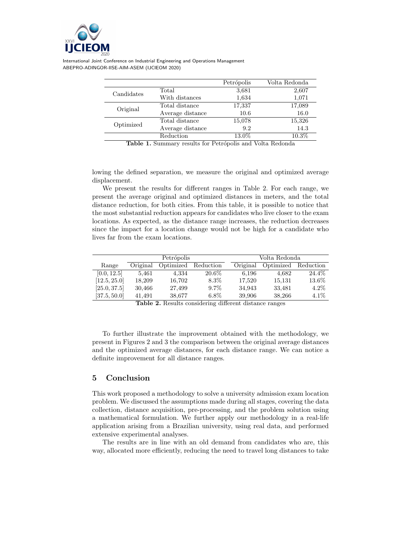

|            |                  | Petrópolis                                          | Volta Redonda |
|------------|------------------|-----------------------------------------------------|---------------|
| Candidates | Total            | 3,681                                               | 2,607         |
|            | With distances   | 1,634                                               | 1,071         |
| Original   | Total distance   | 17,337                                              | 17,089        |
|            | Average distance | 10.6                                                | 16.0          |
| Optimized  | Total distance   | 15,078                                              | 15,326        |
|            | Average distance | 9.2                                                 | 14.3          |
|            | Reduction        | 13.0%                                               | 10.3%         |
| -----      | $\cdot$ $\cdot$  | <b>B B B B B B</b><br>$\mathbf{u}$<br>$\sim$ $\sim$ | $\sim$ $\sim$ |

Table 1. Summary results for Petrópolis and Volta Redonda

lowing the defined separation, we measure the original and optimized average displacement.

We present the results for different ranges in Table 2. For each range, we present the average original and optimized distances in meters, and the total distance reduction, for both cities. From this table, it is possible to notice that the most substantial reduction appears for candidates who live closer to the exam locations. As expected, as the distance range increases, the reduction decreases since the impact for a location change would not be high for a candidate who lives far from the exam locations.

|              | Petrópolis |           |           | Volta Redonda |           |           |
|--------------|------------|-----------|-----------|---------------|-----------|-----------|
| Range        | Original   | Optimized | Reduction | Original      | Optimized | Reduction |
| [0.0, 12.5]  | 5.461      | 4.334     | 20.6%     | 6,196         | 4.682     | 24.4%     |
| [12.5, 25.0] | 18.209     | 16,702    | $8.3\%$   | 17,520        | 15,131    | 13.6%     |
| [25.0, 37.5] | 30,466     | 27.499    | $9.7\%$   | 34.943        | 33,481    | $4.2\%$   |
| [37.5, 50.0] | 41.491     | 38,677    | $6.8\%$   | 39,906        | 38,266    | $4.1\%$   |

Table 2. Results considering different distance ranges

To further illustrate the improvement obtained with the methodology, we present in Figures 2 and 3 the comparison between the original average distances and the optimized average distances, for each distance range. We can notice a definite improvement for all distance ranges.

# 5 Conclusion

This work proposed a methodology to solve a university admission exam location problem. We discussed the assumptions made during all stages, covering the data collection, distance acquisition, pre-processing, and the problem solution using a mathematical formulation. We further apply our methodology in a real-life application arising from a Brazilian university, using real data, and performed extensive experimental analyses.

The results are in line with an old demand from candidates who are, this way, allocated more efficiently, reducing the need to travel long distances to take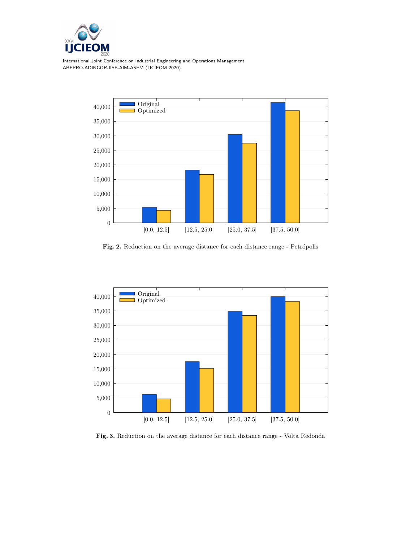



Fig. 2. Reduction on the average distance for each distance range - Petrópolis



Fig. 3. Reduction on the average distance for each distance range - Volta Redonda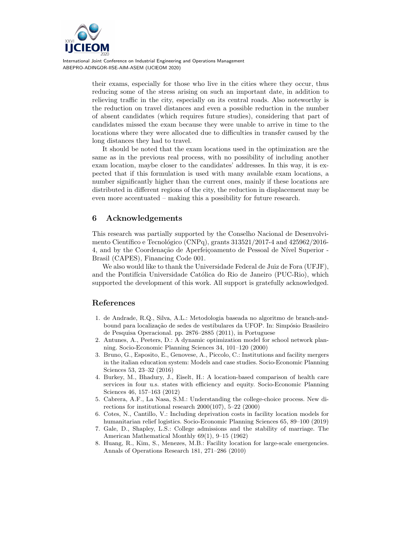

> their exams, especially for those who live in the cities where they occur, thus reducing some of the stress arising on such an important date, in addition to relieving traffic in the city, especially on its central roads. Also noteworthy is the reduction on travel distances and even a possible reduction in the number of absent candidates (which requires future studies), considering that part of candidates missed the exam because they were unable to arrive in time to the locations where they were allocated due to difficulties in transfer caused by the long distances they had to travel.

> It should be noted that the exam locations used in the optimization are the same as in the previous real process, with no possibility of including another exam location, maybe closer to the candidates' addresses. In this way, it is expected that if this formulation is used with many available exam locations, a number significantly higher than the current ones, mainly if these locations are distributed in different regions of the city, the reduction in displacement may be even more accentuated – making this a possibility for future research.

## 6 Acknowledgements

This research was partially supported by the Conselho Nacional de Desenvolvimento Científico e Tecnológico (CNPq), grants  $313521/2017-4$  and  $425962/2016-$ 4, and by the Coordenação de Aperfeiçoamento de Pessoal de Nível Superior -Brasil (CAPES), Financing Code 001.

We also would like to thank the Universidade Federal de Juiz de Fora (UFJF), and the Pontifícia Universidade Católica do Rio de Janeiro (PUC-Rio), which supported the development of this work. All support is gratefully acknowledged.

# References

- 1. de Andrade, R.Q., Silva, A.L.: Metodologia baseada no algoritmo de branch-andbound para localização de sedes de vestibulares da UFOP. In: Simpósio Brasileiro de Pesquisa Operacional. pp. 2876–2885 (2011), in Portuguese
- 2. Antunes, A., Peeters, D.: A dynamic optimization model for school network planning. Socio-Economic Planning Sciences 34, 101–120 (2000)
- 3. Bruno, G., Esposito, E., Genovese, A., Piccolo, C.: Institutions and facility mergers in the italian education system: Models and case studies. Socio-Economic Planning Sciences 53, 23–32 (2016)
- 4. Burkey, M., Bhadury, J., Eiselt, H.: A location-based comparison of health care services in four u.s. states with efficiency and equity. Socio-Economic Planning Sciences 46, 157–163 (2012)
- 5. Cabrera, A.F., La Nasa, S.M.: Understanding the college-choice process. New directions for institutional research 2000(107), 5–22 (2000)
- 6. Cotes, N., Cantillo, V.: Including deprivation costs in facility location models for humanitarian relief logistics. Socio-Economic Planning Sciences 65, 89–100 (2019)
- 7. Gale, D., Shapley, L.S.: College admissions and the stability of marriage. The American Mathematical Monthly 69(1), 9–15 (1962)
- 8. Huang, R., Kim, S., Menezes, M.B.: Facility location for large-scale emergencies. Annals of Operations Research 181, 271–286 (2010)